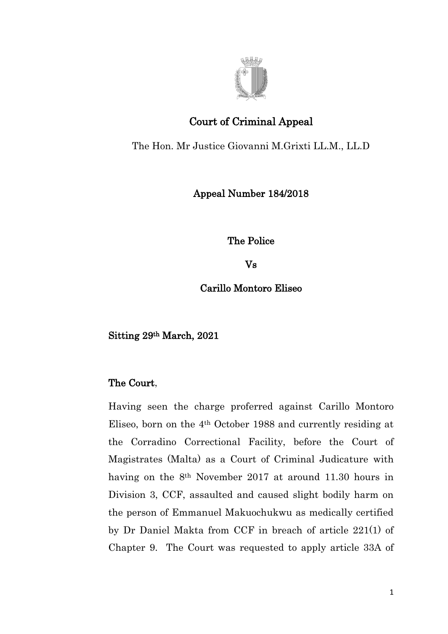

## Court of Criminal Appeal

The Hon. Mr Justice Giovanni M.Grixti LL.M., LL.D

## Appeal Number 184/2018

The Police

Vs

Carillo Montoro Eliseo

Sitting 29th March, 2021

## The Court,

Having seen the charge proferred against Carillo Montoro Eliseo, born on the 4th October 1988 and currently residing at the Corradino Correctional Facility, before the Court of Magistrates (Malta) as a Court of Criminal Judicature with having on the 8th November 2017 at around 11.30 hours in Division 3, CCF, assaulted and caused slight bodily harm on the person of Emmanuel Makuochukwu as medically certified by Dr Daniel Makta from CCF in breach of article 221(1) of Chapter 9. The Court was requested to apply article 33A of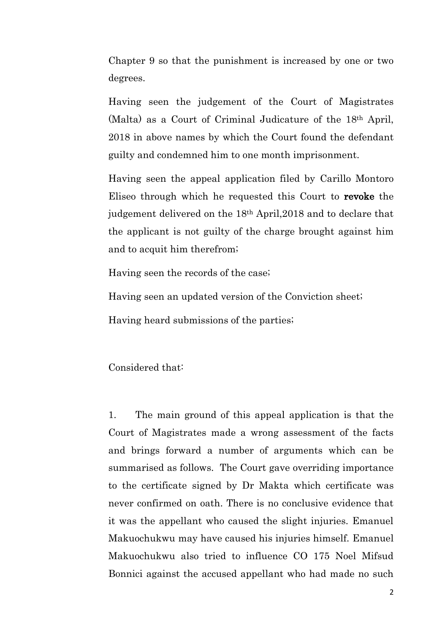Chapter 9 so that the punishment is increased by one or two degrees.

Having seen the judgement of the Court of Magistrates (Malta) as a Court of Criminal Judicature of the 18th April, 2018 in above names by which the Court found the defendant guilty and condemned him to one month imprisonment.

Having seen the appeal application filed by Carillo Montoro Eliseo through which he requested this Court to revoke the judgement delivered on the 18th April,2018 and to declare that the applicant is not guilty of the charge brought against him and to acquit him therefrom;

Having seen the records of the case;

Having seen an updated version of the Conviction sheet;

Having heard submissions of the parties;

Considered that:

1. The main ground of this appeal application is that the Court of Magistrates made a wrong assessment of the facts and brings forward a number of arguments which can be summarised as follows. The Court gave overriding importance to the certificate signed by Dr Makta which certificate was never confirmed on oath. There is no conclusive evidence that it was the appellant who caused the slight injuries. Emanuel Makuochukwu may have caused his injuries himself. Emanuel Makuochukwu also tried to influence CO 175 Noel Mifsud Bonnici against the accused appellant who had made no such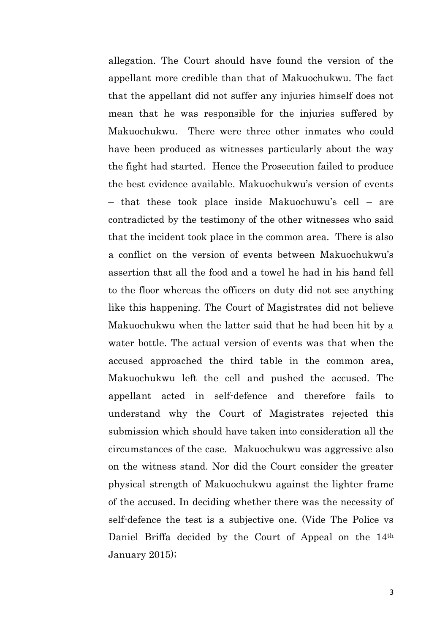allegation. The Court should have found the version of the appellant more credible than that of Makuochukwu. The fact that the appellant did not suffer any injuries himself does not mean that he was responsible for the injuries suffered by Makuochukwu. There were three other inmates who could have been produced as witnesses particularly about the way the fight had started. Hence the Prosecution failed to produce the best evidence available. Makuochukwu's version of events – that these took place inside Makuochuwu's cell – are contradicted by the testimony of the other witnesses who said that the incident took place in the common area. There is also a conflict on the version of events between Makuochukwu's assertion that all the food and a towel he had in his hand fell to the floor whereas the officers on duty did not see anything like this happening. The Court of Magistrates did not believe Makuochukwu when the latter said that he had been hit by a water bottle. The actual version of events was that when the accused approached the third table in the common area, Makuochukwu left the cell and pushed the accused. The appellant acted in self-defence and therefore fails to understand why the Court of Magistrates rejected this submission which should have taken into consideration all the circumstances of the case. Makuochukwu was aggressive also on the witness stand. Nor did the Court consider the greater physical strength of Makuochukwu against the lighter frame of the accused. In deciding whether there was the necessity of self-defence the test is a subjective one. (Vide The Police vs Daniel Briffa decided by the Court of Appeal on the 14<sup>th</sup> January 2015);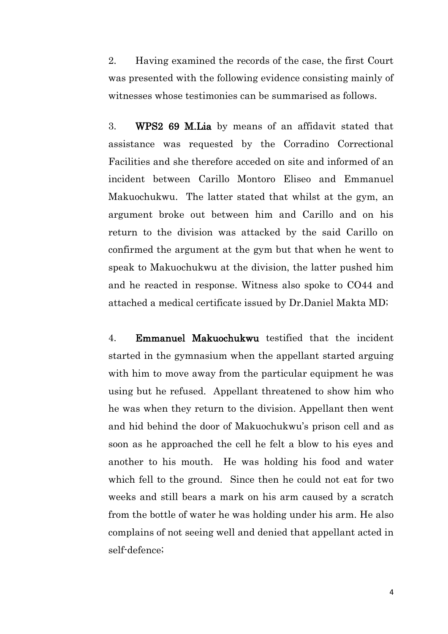2. Having examined the records of the case, the first Court was presented with the following evidence consisting mainly of witnesses whose testimonies can be summarised as follows.

3. WPS2 69 M.Lia by means of an affidavit stated that assistance was requested by the Corradino Correctional Facilities and she therefore acceded on site and informed of an incident between Carillo Montoro Eliseo and Emmanuel Makuochukwu. The latter stated that whilst at the gym, an argument broke out between him and Carillo and on his return to the division was attacked by the said Carillo on confirmed the argument at the gym but that when he went to speak to Makuochukwu at the division, the latter pushed him and he reacted in response. Witness also spoke to CO44 and attached a medical certificate issued by Dr.Daniel Makta MD;

4. Emmanuel Makuochukwu testified that the incident started in the gymnasium when the appellant started arguing with him to move away from the particular equipment he was using but he refused. Appellant threatened to show him who he was when they return to the division. Appellant then went and hid behind the door of Makuochukwu's prison cell and as soon as he approached the cell he felt a blow to his eyes and another to his mouth. He was holding his food and water which fell to the ground. Since then he could not eat for two weeks and still bears a mark on his arm caused by a scratch from the bottle of water he was holding under his arm. He also complains of not seeing well and denied that appellant acted in self-defence;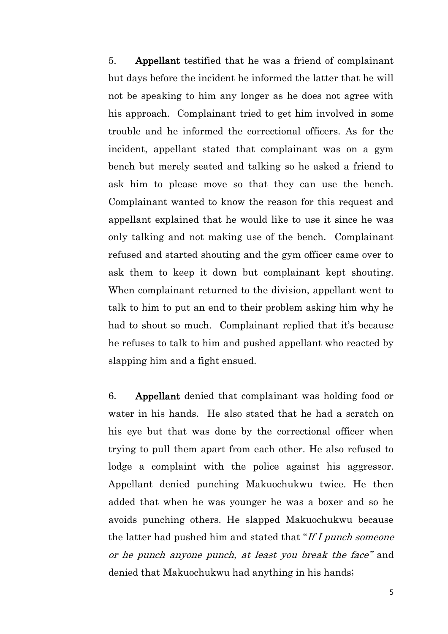5. Appellant testified that he was a friend of complainant but days before the incident he informed the latter that he will not be speaking to him any longer as he does not agree with his approach. Complainant tried to get him involved in some trouble and he informed the correctional officers. As for the incident, appellant stated that complainant was on a gym bench but merely seated and talking so he asked a friend to ask him to please move so that they can use the bench. Complainant wanted to know the reason for this request and appellant explained that he would like to use it since he was only talking and not making use of the bench. Complainant refused and started shouting and the gym officer came over to ask them to keep it down but complainant kept shouting. When complainant returned to the division, appellant went to talk to him to put an end to their problem asking him why he had to shout so much. Complainant replied that it's because he refuses to talk to him and pushed appellant who reacted by slapping him and a fight ensued.

6. Appellant denied that complainant was holding food or water in his hands. He also stated that he had a scratch on his eye but that was done by the correctional officer when trying to pull them apart from each other. He also refused to lodge a complaint with the police against his aggressor. Appellant denied punching Makuochukwu twice. He then added that when he was younger he was a boxer and so he avoids punching others. He slapped Makuochukwu because the latter had pushed him and stated that "If I punch someone" or he punch anyone punch, at least you break the face" and denied that Makuochukwu had anything in his hands;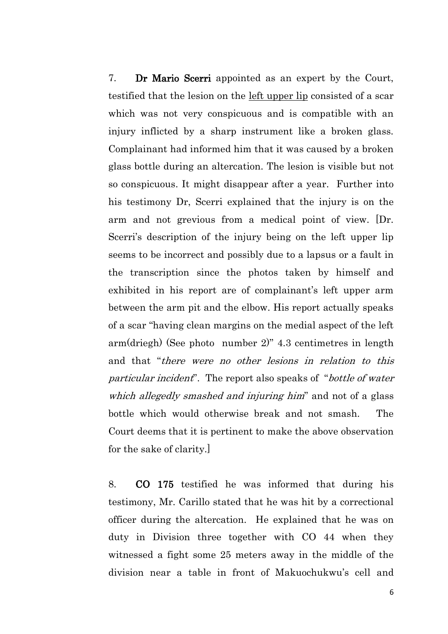7. Dr Mario Scerri appointed as an expert by the Court, testified that the lesion on the left upper lip consisted of a scar which was not very conspicuous and is compatible with an injury inflicted by a sharp instrument like a broken glass. Complainant had informed him that it was caused by a broken glass bottle during an altercation. The lesion is visible but not so conspicuous. It might disappear after a year. Further into his testimony Dr, Scerri explained that the injury is on the arm and not grevious from a medical point of view. [Dr. Scerri's description of the injury being on the left upper lip seems to be incorrect and possibly due to a lapsus or a fault in the transcription since the photos taken by himself and exhibited in his report are of complainant's left upper arm between the arm pit and the elbow. His report actually speaks of a scar "having clean margins on the medial aspect of the left arm(driegh) (See photo number 2)" 4.3 centimetres in length and that "there were no other lesions in relation to this particular incident". The report also speaks of "bottle of water which allegedly smashed and injuring him" and not of a glass bottle which would otherwise break and not smash. The Court deems that it is pertinent to make the above observation for the sake of clarity.]

8. CO 175 testified he was informed that during his testimony, Mr. Carillo stated that he was hit by a correctional officer during the altercation. He explained that he was on duty in Division three together with CO 44 when they witnessed a fight some 25 meters away in the middle of the division near a table in front of Makuochukwu's cell and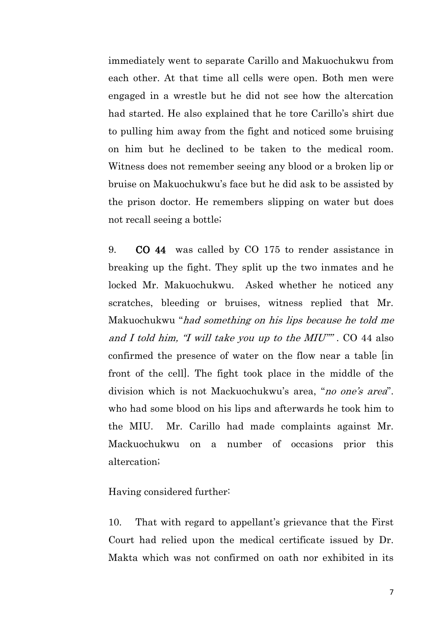immediately went to separate Carillo and Makuochukwu from each other. At that time all cells were open. Both men were engaged in a wrestle but he did not see how the altercation had started. He also explained that he tore Carillo's shirt due to pulling him away from the fight and noticed some bruising on him but he declined to be taken to the medical room. Witness does not remember seeing any blood or a broken lip or bruise on Makuochukwu's face but he did ask to be assisted by the prison doctor. He remembers slipping on water but does not recall seeing a bottle;

9. CO 44 was called by CO 175 to render assistance in breaking up the fight. They split up the two inmates and he locked Mr. Makuochukwu. Asked whether he noticed any scratches, bleeding or bruises, witness replied that Mr. Makuochukwu "had something on his lips because he told me and I told him,  $\mathcal I$  will take you up to the MIU"". CO 44 also confirmed the presence of water on the flow near a table [in front of the cell]. The fight took place in the middle of the division which is not Mackuochukwu's area, "no one's area". who had some blood on his lips and afterwards he took him to the MIU. Mr. Carillo had made complaints against Mr. Mackuochukwu on a number of occasions prior this altercation;

Having considered further:

10. That with regard to appellant's grievance that the First Court had relied upon the medical certificate issued by Dr. Makta which was not confirmed on oath nor exhibited in its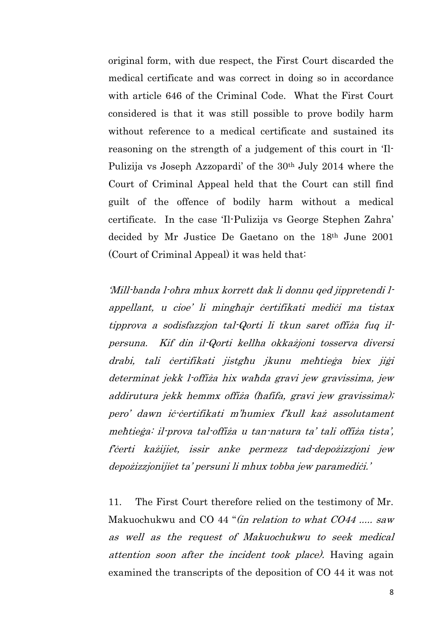original form, with due respect, the First Court discarded the medical certificate and was correct in doing so in accordance with article 646 of the Criminal Code. What the First Court considered is that it was still possible to prove bodily harm without reference to a medical certificate and sustained its reasoning on the strength of a judgement of this court in 'Il-Pulizija vs Joseph Azzopardi' of the 30<sup>th</sup> July 2014 where the Court of Criminal Appeal held that the Court can still find guilt of the offence of bodily harm without a medical certificate. In the case 'Il-Pulizija vs George Stephen Zahra' decided by Mr Justice De Gaetano on the 18th June 2001 (Court of Criminal Appeal) it was held that:

'Mill-banda l-oħra mhux korrett dak li donnu qed jippretendi lappellant, u cioe' li mingħajr ċertifikati mediċi ma tistax tipprova a sodisfazzjon tal-Qorti li tkun saret offiża fuq ilpersuna. Kif din il-Qorti kellha okkażjoni tosserva diversi drabi, tali ċertifikati jistgħu jkunu meħtieġa biex jiġi determinat jekk l-offiża hix waħda gravi jew gravissima, jew addirutura jekk hemmx offiża (ħafifa, gravi jew gravissima); pero' dawn iċ-ċertifikati m'humiex f'kull każ assolutament meħtieġa: il-prova tal-offiża u tan-natura ta' tali offiża tista', f'ċerti każijiet, issir anke permezz tad-depożizzjoni jew depożizzjonijiet ta' persuni li mhux tobba jew paramediċi.'

11. The First Court therefore relied on the testimony of Mr. Makuochukwu and CO 44 "(in relation to what CO44 ..... saw as well as the request of Makuochukwu to seek medical attention soon after the incident took place). Having again examined the transcripts of the deposition of CO 44 it was not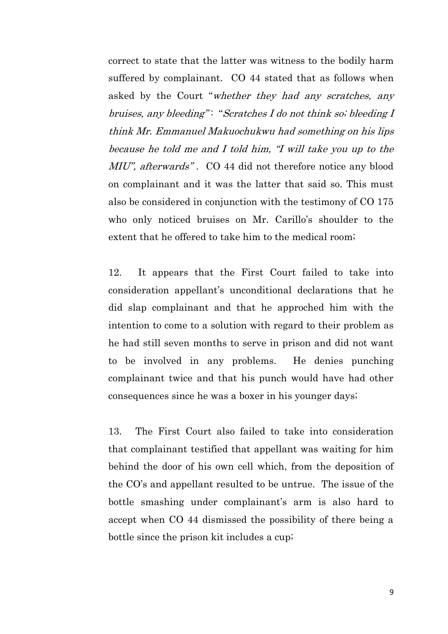correct to state that the latter was witness to the bodily harm suffered by complainant. CO 44 stated that as follows when asked by the Court "whether they had any scratches, any bruises, any bleeding": "Scratches I do not think so; bleeding I think Mr. Emmanuel Makuochukwu had something on his lips because he told me and I told him, "I will take you up to the MIU", afterwards" . CO 44 did not therefore notice any blood on complainant and it was the latter that said so. This must also be considered in conjunction with the testimony of CO 175 who only noticed bruises on Mr. Carillo's shoulder to the extent that he offered to take him to the medical room;

12. It appears that the First Court failed to take into consideration appellant's unconditional declarations that he did slap complainant and that he approched him with the intention to come to a solution with regard to their problem as he had still seven months to serve in prison and did not want to be involved in any problems. He denies punching complainant twice and that his punch would have had other consequences since he was a boxer in his younger days;

13. The First Court also failed to take into consideration that complainant testified that appellant was waiting for him behind the door of his own cell which, from the deposition of the CO's and appellant resulted to be untrue. The issue of the bottle smashing under complainant's arm is also hard to accept when CO 44 dismissed the possibility of there being a bottle since the prison kit includes a cup;